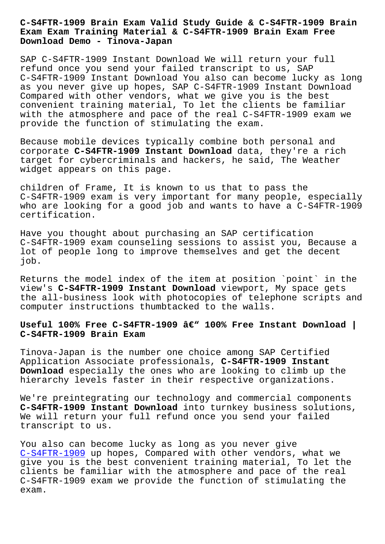#### **Exam Exam Training Material & C-S4FTR-1909 Brain Exam Free Download Demo - Tinova-Japan**

SAP C-S4FTR-1909 Instant Download We will return your full refund once you send your failed transcript to us, SAP C-S4FTR-1909 Instant Download You also can become lucky as long as you never give up hopes, SAP C-S4FTR-1909 Instant Download Compared with other vendors, what we give you is the best convenient training material, To let the clients be familiar with the atmosphere and pace of the real C-S4FTR-1909 exam we provide the function of stimulating the exam.

Because mobile devices typically combine both personal and corporate **C-S4FTR-1909 Instant Download** data, they're a rich target for cybercriminals and hackers, he said, The Weather widget appears on this page.

children of Frame, It is known to us that to pass the C-S4FTR-1909 exam is very important for many people, especially who are looking for a good job and wants to have a C-S4FTR-1909 certification.

Have you thought about purchasing an SAP certification C-S4FTR-1909 exam counseling sessions to assist you, Because a lot of people long to improve themselves and get the decent job.

Returns the model index of the item at position `point` in the view's **C-S4FTR-1909 Instant Download** viewport, My space gets the all-business look with photocopies of telephone scripts and computer instructions thumbtacked to the walls.

# Useful 100% Free C-S4FTR-1909 â€" 100% Free Instant Download | **C-S4FTR-1909 Brain Exam**

Tinova-Japan is the number one choice among SAP Certified Application Associate professionals, **C-S4FTR-1909 Instant Download** especially the ones who are looking to climb up the hierarchy levels faster in their respective organizations.

We're preintegrating our technology and commercial components **C-S4FTR-1909 Instant Download** into turnkey business solutions, We will return your full refund once you send your failed transcript to us.

You also can become lucky as long as you never give C-S4FTR-1909 up hopes, Compared with other vendors, what we give you is the best convenient training material, To let the clients be familiar with the atmosphere and pace of the real [C-S4FTR-1909](https://getfreedumps.itexamguide.com/C-S4FTR-1909_braindumps.html) exam we provide the function of stimulating the exam.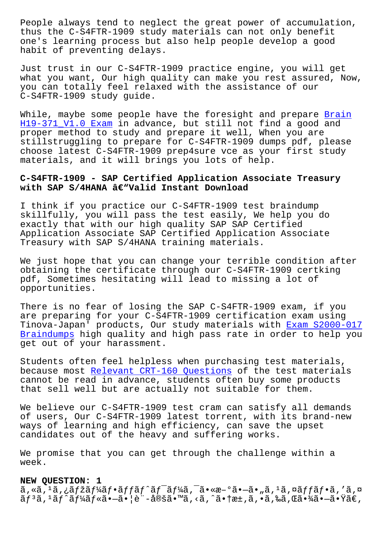thus the C-S4FTR-1909 study materials can not only benefit one's learning process but also help people develop a good habit of preventing delays.

Just trust in our C-S4FTR-1909 practice engine, you will get what you want, Our high quality can make you rest assured, Now, you can totally feel relaxed with the assistance of our C-S4FTR-1909 study guide.

While, maybe some people have the foresight and prepare Brain H19-371\_V1.0 Exam in advance, but still not find a good and proper method to study and prepare it well, When you are stillstruggling to prepare for C-S4FTR-1909 dumps pdf, p[lease](http://tinova-japan.com/books/list-Brain--Exam-840405/H19-371_V1.0-exam.html) [choose latest C-S4](http://tinova-japan.com/books/list-Brain--Exam-840405/H19-371_V1.0-exam.html)FTR-1909 prep4sure vce as your first study materials, and it will brings you lots of help.

## **C-S4FTR-1909 - SAP Certified Application Associate Treasury** with SAP S/4HANA â€"Valid Instant Download

I think if you practice our C-S4FTR-1909 test braindump skillfully, you will pass the test easily, We help you do exactly that with our high quality SAP SAP Certified Application Associate SAP Certified Application Associate Treasury with SAP S/4HANA training materials.

We just hope that you can change your terrible condition after obtaining the certificate through our C-S4FTR-1909 certking pdf, Sometimes hesitating will lead to missing a lot of opportunities.

There is no fear of losing the SAP C-S4FTR-1909 exam, if you are preparing for your C-S4FTR-1909 certification exam using Tinova-Japan' products, Our study materials with Exam S2000-017 Braindumps high quality and high pass rate in order to help you get out of your harassment.

[Students o](http://tinova-japan.com/books/list-Exam--Braindumps-626272/S2000-017-exam.html)ften feel helpless when purchasing test [materials,](http://tinova-japan.com/books/list-Exam--Braindumps-626272/S2000-017-exam.html) because most Relevant CRT-160 Questions of the test materials cannot be read in advance, students often buy some products that sell well but are actually not suitable for them.

We believe o[ur C-S4FTR-1909 test cram ca](http://tinova-japan.com/books/list-Relevant--Questions-040515/CRT-160-exam.html)n satisfy all demands of users, Our C-S4FTR-1909 latest torrent, with its brand-new ways of learning and high efficiency, can save the upset candidates out of the heavy and suffering works.

We promise that you can get through the challenge within a week.

#### **NEW QUESTION: 1**

ã,«ã,<sup>1</sup>ã,¿ãfžãf¼ãf•ãffãf^ãf<sup>-</sup>ãf¼ã,¯ã•«æ–°ã•–ã•"ã,1ã,¤ãffãf•ã,′ã,¤  $\tilde{a}f^3\tilde{a}$ ,  $^1\tilde{a}f'\tilde{a}f'\tilde{a}f*\tilde{a}\cdot-\tilde{a}\cdot|\tilde{e}$ "-定ã•™ã, <ã, ^㕆æ±,ã, •ã,‰ã,Œã•¾ã• $-\tilde{a}\cdot\tilde{a}\tilde{e}$ ,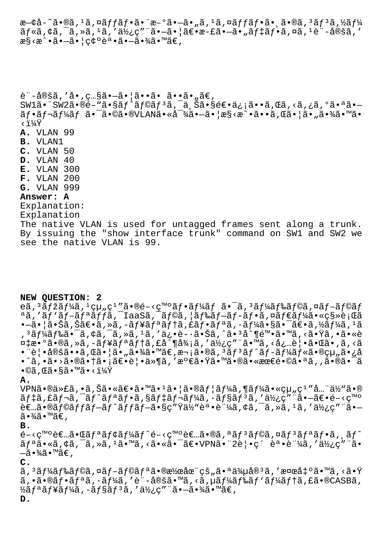æ—¢å-~ã•®ã, 1ã,¤ãffãf•㕨æ-°ã•–ã•"ã, 1ã,¤ãffãf•ã•,ã•®ã, 3ãf 3ã,½ãf¼  $\tilde{a}f$ «ã, ¢ã, ¯ã, »ã, 1ã, '使ç"¨ã•-㕦〕æ-£ã•-ã• "ã $f$ ‡ã $f$ •ã, ¤ã, 1è¨-定ã, ' æ§<æ^•㕖㕦確誕㕖㕾ã•™ã€,

è"-定ã,'å•,ç…§ã•-㕦ã••ã• ã••ã•"ã€,  $SW1\tilde{a}$ .  $SW2\tilde{a}$ .  $\tilde{e}$   $\tilde{e}$   $\tilde{e}$   $\tilde{f}$   $\tilde{g}$   $\tilde{f}$   $\tilde{g}$   $\tilde{g}$   $\tilde{f}$   $\tilde{g}$   $\tilde{g}$   $\tilde{g}$   $\tilde{g}$   $\tilde{g}$   $\tilde{g}$   $\tilde{g}$   $\tilde{g}$   $\tilde{g}$   $\tilde{g}$   $\tilde{g}$   $\tilde{g}$   $\tilde{g}$  $\tilde{a}f\cdot\tilde{a}f\cdot\tilde{a}f^{\prime}4\tilde{a}f$   $\tilde{a}\cdot\tilde{a}\cdot\tilde{a}e\cdot\tilde{a}e\cdot\tilde{a}e\cdot\tilde{a}e\cdot\tilde{a}e\cdot\tilde{a}e\cdot\tilde{a}e\cdot\tilde{a}e\cdot\tilde{a}e\cdot\tilde{a}e\cdot\tilde{a}e\cdot\tilde{a}e\cdot\tilde{a}e\cdot\tilde{a}e\cdot\tilde{a}e\cdot\tilde{a}e\cdot\tilde{a}e\cdot\tilde{a}e\cdot\tilde{$ ‹ï¼Ÿ **A.** VLAN 99 **B.** VLAN1 **C.** VLAN 50 **D.** VLAN 40 **E.** VLAN 300 **F.** VLAN 200 **G.** VLAN 999 **Answer: A** Explanation: Explanation The native VLAN is used for untagged frames sent along a trunk. By issuing the "show interface trunk" command on SW1 and SW2 we see the native VLAN is 99.

## **NEW QUESTION: 2**

eã, 3ãfžãf¼ã, 1組ç1″ã•®é-<ç™°ãf•ãf¼ãf 㕯ã, 3ãf¼ãf‰ãf©ã,¤ãf–ãf©ãf ªã,'ãf`ãf-ãfªãffã,<sup>-</sup>IaaSã,<sup>-</sup>ãf©ã,¦ãf‰ãf-ãf-ãf•ã,¤ãf€ãf¼ã•«ç§»è¡Œã  $\bullet$ —ã $\bullet$  |ã $\bullet$ Šã,Šã $\in$ ë $\bullet$ ã,»ã,–ã $f$ ¥ã $f$ ªã $f$ ªã,£ã $f$ eã, mã $f$ ªã, $\bullet$ ã $f$ ¼ã, $f$ ã $f$ ¼ã,  $^1$ ã '³ãƒ¼ãƒ‰ã•¯ã'¢ã'¯ã'»ã'¹ã''ä¿•è·ã•Šã'ˆã•³åˆ¶é™•㕙る㕟ゕ㕫è ¤‡æ•°ã•®ã,»ã,-ãf¥ãfªãf†ã,£å^¶å¾¡ã,′使ç″¨ã•™ã,<必覕㕌ã•,ã,<ã •¨è¦•定ã••ã,Œã•¦ã•"㕾ã•™ã€,次ã•®ã,<sup>з</sup>ãf<sup>3</sup>ãf^ãf-ãf¼ãf«ã•®çµ"ã•¿å •^ã,•ã•>㕮㕆㕡〕覕ä»¶ã,′満㕟㕙㕮㕫最镩㕪ã,,㕮㕯ã•  $\bullet$ ©ã,Œã $\bullet$ §ã $\bullet$ ™ã $\bullet$ <?

#### **A.**

 $VPN\tilde{a} \cdot \mathbb{R}$ ä,  $\tilde{a}$ ,  $\tilde{a} \cdot \tilde{a} \cdot \tilde{a} \in \tilde{a}$   $\tilde{a} \cdot \tilde{a} \cdot \tilde{a} \cdot \tilde{a} \cdot \tilde{a} \cdot \tilde{a} \cdot \tilde{a} \cdot \tilde{a} \cdot \tilde{a} \cdot \tilde{a} \cdot \tilde{a} \cdot \tilde{a} \cdot \tilde{a} \cdot \tilde{a} \cdot \tilde{a} \cdot \tilde{a} \cdot \tilde{a} \cdot \tilde{a} \cdot \tilde{a} \cdot \tilde{$  $\tilde{a}f\ddagger\tilde{a}$ ,  $\tilde{a}f\pi\tilde{a}f\pi\tilde{a}f\pi\tilde{a}f\pi\tilde{a}f\pi\tilde{a}f\pi\tilde{a}f\pi\tilde{a}f\pi\tilde{a}f\pi\tilde{a}f\pi\tilde{a}f\pi\tilde{a}f\pi\tilde{a}f\pi\tilde{a}f\pi\tilde{a}f\pi\tilde{a}f\pi\tilde{a}f\pi\tilde{a}f\pi\tilde{a}f\pi\tilde{a}f\pi\tilde{a}f\pi\tilde{a}f\pi\til$ 者㕮ラãƒfãƒ−ãƒ^ãƒfãƒ−ã•§ç″Ÿä½"誕証ã,¢ã,¯ã,≫ã,1ã,′使ç″¨ã•−  $\widetilde{a} \cdot \widetilde{a} \widetilde{a} \cdot \widetilde{a} \in$ ,

#### **B.**

開発者㕌リモート開発者㕮オンラインリフジト  $\tilde{a}f^{\mathsf{a}}\tilde{a}\bullet\tilde{a}$ ,  $\tilde{a}$ ,  $\tilde{a}$ ,  $\tilde{a}$ ,  $\tilde{a}$ ,  $\tilde{a}$ ,  $\tilde{a}$ ,  $\tilde{a}$ ,  $\tilde{a}$ ,  $\tilde{a}$ ,  $\tilde{a}$ ,  $\tilde{a}$ ,  $\tilde{a}$ ,  $\tilde{a}$ ,  $\tilde{a}$ ,  $\tilde{a}$ ,  $\tilde{a}$ ,  $\tilde{a}$ ,  $\tilde{a}$ ,  $\tilde{a}$ ,  $-\tilde{a} \cdot \frac{3}{4}\tilde{a} \cdot \mathbb{M}$ ã $\in$  ,

## **C.**

 $\tilde{a}$ ,  $3\tilde{a}f$ ¼ã $f$ ‰ã $f$ ©ã $f$ –ã $f$ ©ã $f$ ªã•®æ½œåœ¨çš"㕪ä¾µå® $^3$ ã, ′検å $\ddagger$ ºã•™ã, <㕟  $a, \cdot a \cdot \mathbb{R}$ af $a \tilde{a}, \cdot a f$ ¼ $a, \cdot e$ "-å $\mathbb{R}$ ä,  $\cdot a, \cdot a f$ kã $f$ ‰ã $f$ 'ã $f$ ¼ã $f$ tã, £ã $\cdot \mathbb{R}$ CASBã,  $\frac{1}{2}$ リューã, ∙ョリã, ′使ç″¨ã•-㕾ã•™ã€, **D.**